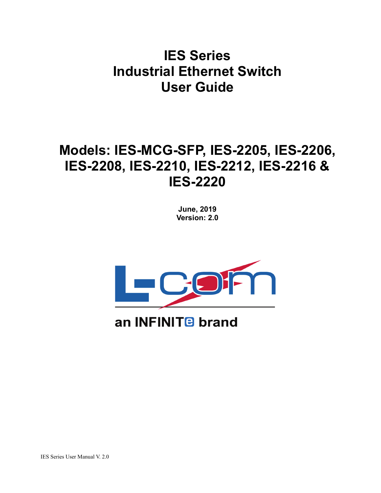# **IES Series Industrial Ethernet Switch User Guide**

# **Models: IES-MCG-SFP, IES-2205, IES-2206, IES-2208, IES-2210, IES-2212, IES-2216 & IES-2220**

**June, 2019 Version: 2.0**



# an INFINIT<sub>B</sub> brand

IES Series User Manual V. 2.0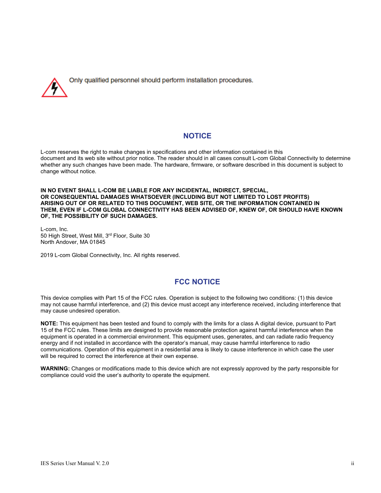

Only qualified personnel should perform installation procedures.

#### **NOTICE**

L-com reserves the right to make changes in specifications and other information contained in this document and its web site without prior notice. The reader should in all cases consult L-com Global Connectivity to determine whether any such changes have been made. The hardware, firmware, or software described in this document is subject to change without notice.

**IN NO EVENT SHALL L-COM BE LIABLE FOR ANY INCIDENTAL, INDIRECT, SPECIAL, OR CONSEQUENTIAL DAMAGES WHATSOEVER (INCLUDING BUT NOT LIMITED TO LOST PROFITS) ARISING OUT OF OR RELATED TO THIS DOCUMENT, WEB SITE, OR THE INFORMATION CONTAINED IN THEM, EVEN IF L-COM GLOBAL CONNECTIVITY HAS BEEN ADVISED OF, KNEW OF, OR SHOULD HAVE KNOWN OF, THE POSSIBILITY OF SUCH DAMAGES.**

L-com, Inc. 50 High Street, West Mill, 3rd Floor, Suite 30 North Andover, MA 01845

2019 L-com Global Connectivity, Inc. All rights reserved.

### **FCC NOTICE**

This device complies with Part 15 of the FCC rules. Operation is subject to the following two conditions: (1) this device may not cause harmful interference, and (2) this device must accept any interference received, including interference that may cause undesired operation.

**NOTE:** This equipment has been tested and found to comply with the limits for a class A digital device, pursuant to Part 15 of the FCC rules. These limits are designed to provide reasonable protection against harmful interference when the equipment is operated in a commercial environment. This equipment uses, generates, and can radiate radio frequency energy and if not installed in accordance with the operator's manual, may cause harmful interference to radio communications. Operation of this equipment in a residential area is likely to cause interference in which case the user will be required to correct the interference at their own expense.

**WARNING:** Changes or modifications made to this device which are not expressly approved by the party responsible for compliance could void the user's authority to operate the equipment.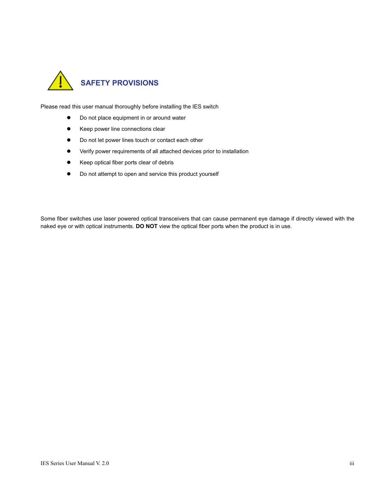

Please read this user manual thoroughly before installing the IES switch

- Do not place equipment in or around water
- **•** Keep power line connections clear
- $\bullet$  Do not let power lines touch or contact each other
- Verify power requirements of all attached devices prior to installation
- Keep optical fiber ports clear of debris
- $\bullet$  Do not attempt to open and service this product yourself

Some fiber switches use laser powered optical transceivers that can cause permanent eye damage if directly viewed with the naked eye or with optical instruments. **DO NOT** view the optical fiber ports when the product is in use.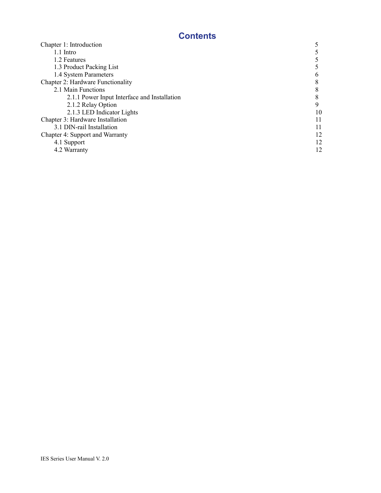## **Contents**

| Chapter 1: Introduction                      |    |  |  |
|----------------------------------------------|----|--|--|
| 1.1 Intro                                    |    |  |  |
| 1.2 Features                                 |    |  |  |
| 1.3 Product Packing List                     |    |  |  |
| 1.4 System Parameters                        |    |  |  |
| <b>Chapter 2: Hardware Functionality</b>     |    |  |  |
| 2.1 Main Functions                           |    |  |  |
| 2.1.1 Power Input Interface and Installation |    |  |  |
| 2.1.2 Relay Option                           | Q  |  |  |
| 2.1.3 LED Indicator Lights                   | 10 |  |  |
| Chapter 3: Hardware Installation             |    |  |  |
| 3.1 DIN-rail Installation                    | 11 |  |  |
| Chapter 4: Support and Warranty              |    |  |  |
| 4.1 Support                                  | 12 |  |  |
| 4.2 Warranty                                 |    |  |  |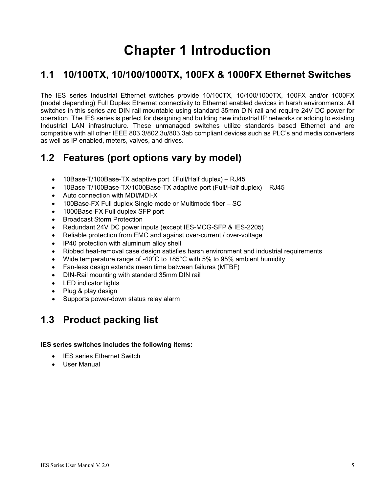# **Chapter 1 Introduction**

## **1.1 10/100TX, 10/100/1000TX, 100FX & 1000FX Ethernet Switches**

The IES series Industrial Ethernet switches provide 10/100TX, 10/100/1000TX, 100FX and/or 1000FX (model depending) Full Duplex Ethernet connectivity to Ethernet enabled devices in harsh environments. All switches in this series are DIN rail mountable using standard 35mm DIN rail and require 24V DC power for operation. The IES series is perfect for designing and building new industrial IP networks or adding to existing Industrial LAN infrastructure. These unmanaged switches utilize standards based Ethernet and are compatible with all other IEEE 803.3/802.3u/803.3ab compliant devices such as PLC's and media converters as well as IP enabled, meters, valves, and drives.

## **1.2 Features (port options vary by model)**

- 10Base-T/100Base-TX adaptive port (Full/Half duplex) RJ45
- 10Base-T/100Base-TX/1000Base-TX adaptive port (Full/Half duplex) RJ45
- Auto connection with MDI/MDI-X
- 100Base-FX Full duplex Single mode or Multimode fiber SC
- 1000Base-FX Full duplex SFP port
- Broadcast Storm Protection
- Redundant 24V DC power inputs (except IES-MCG-SFP & IES-2205)
- Reliable protection from EMC and against over-current / over-voltage
- IP40 protection with aluminum alloy shell
- Ribbed heat-removal case design satisfies harsh environment and industrial requirements
- Wide temperature range of -40°C to +85°C with 5% to 95% ambient humidity
- Fan-less design extends mean time between failures (MTBF)
- DIN-Rail mounting with standard 35mm DIN rail
- LED indicator lights
- Plug & play design
- Supports power-down status relay alarm

## **1.3 Product packing list**

#### **IES series switches includes the following items:**

- IES series Ethernet Switch
- User Manual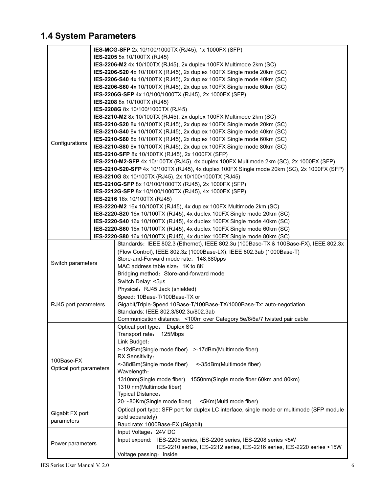## **1.4 System Parameters**

| IES-2205 5x 10/100TX (RJ45)<br>IES-2206-M2 4x 10/100TX (RJ45), 2x duplex 100FX Multimode 2km (SC)<br>IES-2206-S20 4x 10/100TX (RJ45), 2x duplex 100FX Single mode 20km (SC)<br>IES-2206-S40 4x 10/100TX (RJ45), 2x duplex 100FX Single mode 40km (SC)<br>IES-2206-S60 4x 10/100TX (RJ45), 2x duplex 100FX Single mode 60km (SC)<br>IES-2206G-SFP 4x 10/100/1000TX (RJ45), 2x 1000FX (SFP)<br><b>IES-2208 8x 10/100TX (RJ45)</b><br>IES-2208G 8x 10/100/1000TX (RJ45)<br>IES-2210-M2 8x 10/100TX (RJ45), 2x duplex 100FX Multimode 2km (SC)<br>IES-2210-S20 8x 10/100TX (RJ45), 2x duplex 100FX Single mode 20km (SC)<br>IES-2210-S40 8x 10/100TX (RJ45), 2x duplex 100FX Single mode 40km (SC)<br>IES-2210-S60 8x 10/100TX (RJ45), 2x duplex 100FX Single mode 60km (SC)<br>Configurations<br>IES-2210-S80 8x 10/100TX (RJ45), 2x duplex 100FX Single mode 80km (SC)<br>IES-2210-SFP 8x 10/100TX (RJ45), 2x 1000FX (SFP)<br>IES-2210-M2-SFP 4x 10/100TX (RJ45), 4x duplex 100FX Multimode 2km (SC), 2x 1000FX (SFP)<br>IES-2210-S20-SFP 4x 10/100TX (RJ45), 4x duplex 100FX Single mode 20km (SC), 2x 1000FX (SFP)<br>IES-2210G 8x 10/100TX (RJ45), 2x 10/100/1000TX (RJ45)<br>IES-2210G-SFP 8x 10/100/1000TX (RJ45), 2x 1000FX (SFP)<br>IES-2212G-SFP 8x 10/100/1000TX (RJ45), 4x 1000FX (SFP)<br>IES-2216 16x 10/100TX (RJ45)<br>IES-2220-M2 16x 10/100TX (RJ45), 4x duplex 100FX Multimode 2km (SC)<br>IES-2220-S20 16x 10/100TX (RJ45), 4x duplex 100FX Single mode 20km (SC)<br>IES-2220-S40 16x 10/100TX (RJ45), 4x duplex 100FX Single mode 40km (SC)<br>IES-2220-S60 16x 10/100TX (RJ45), 4x duplex 100FX Single mode 60km (SC)<br>IES-2220-S80 16x 10/100TX (RJ45), 4x duplex 100FX Single mode 80km (SC)<br>Standards: IEEE 802.3 (Ethernet), IEEE 802.3u (100Base-TX & 100Base-FX), IEEE 802.3x<br>(Flow Control), IEEE 802.3z (1000Base-LX), IEEE 802.3ab (1000Base-T)<br>Store-and-Forward mode rate: 148,880pps<br>Switch parameters<br>MAC address table size: 1K to 8K<br>Bridging method: Store-and-forward mode<br>Switch Delay: <5µs<br>Physical: RJ45 Jack (shielded)<br>Speed: 10Base-T/100Base-TX or<br>Gigabit/Triple-Speed 10Base-T/100Base-TX/1000Base-Tx: auto-negotiation<br>RJ45 port parameters<br>Standards: IEEE 802.3/802.3u/802.3ab<br>Communication distance: < 100m over Category 5e/6/6a/7 twisted pair cable<br>Optical port type: Duplex SC<br>Transport rate:<br>125Mbps<br>Link Budget:<br>>-12dBm(Single mode fiber)<br>>-17dBm(Multimode fiber)<br>RX Sensitivity:<br>100Base-FX<br><-38dBm(Single mode fiber)<br><-35dBm(Multimode fiber)<br>Optical port parameters<br>Wavelength:<br>1310nm(Single mode fiber)<br>1550nm(Single mode fiber 60km and 80km)<br>1310 nm(Multimode fiber)<br><b>Typical Distance:</b><br>20~80Km(Single mode fiber)<br><5Km(Multi mode fiber)<br>Optical port type: SFP port for duplex LC interface, single mode or multimode (SFP module<br>Gigabit FX port<br>sold separately)<br>parameters<br>Baud rate: 1000Base-FX (Gigabit)<br>Input Voltage: 24V DC<br>Input expend: IES-2205 series, IES-2206 series, IES-2208 series <5W<br>Power parameters<br>IES-2210 series, IES-2212 series, IES-2216 series, IES-2220 series <15W<br>Voltage passing: Inside |  |  | IES-MCG-SFP 2x 10/100/1000TX (RJ45), 1x 1000FX (SFP) |  |  |  |  |  |
|----------------------------------------------------------------------------------------------------------------------------------------------------------------------------------------------------------------------------------------------------------------------------------------------------------------------------------------------------------------------------------------------------------------------------------------------------------------------------------------------------------------------------------------------------------------------------------------------------------------------------------------------------------------------------------------------------------------------------------------------------------------------------------------------------------------------------------------------------------------------------------------------------------------------------------------------------------------------------------------------------------------------------------------------------------------------------------------------------------------------------------------------------------------------------------------------------------------------------------------------------------------------------------------------------------------------------------------------------------------------------------------------------------------------------------------------------------------------------------------------------------------------------------------------------------------------------------------------------------------------------------------------------------------------------------------------------------------------------------------------------------------------------------------------------------------------------------------------------------------------------------------------------------------------------------------------------------------------------------------------------------------------------------------------------------------------------------------------------------------------------------------------------------------------------------------------------------------------------------------------------------------------------------------------------------------------------------------------------------------------------------------------------------------------------------------------------------------------------------------------------------------------------------------------------------------------------------------------------------------------------------------------------------------------------------------------------------------------------------------------------------------------------------------------------------------------------------------------------------------------------------------------------------------------------------------------------------------------------------------------------------------------------------------------------------------------------------------------------------------------------------------------------------------------------------------------------------------------------------------|--|--|------------------------------------------------------|--|--|--|--|--|
|                                                                                                                                                                                                                                                                                                                                                                                                                                                                                                                                                                                                                                                                                                                                                                                                                                                                                                                                                                                                                                                                                                                                                                                                                                                                                                                                                                                                                                                                                                                                                                                                                                                                                                                                                                                                                                                                                                                                                                                                                                                                                                                                                                                                                                                                                                                                                                                                                                                                                                                                                                                                                                                                                                                                                                                                                                                                                                                                                                                                                                                                                                                                                                                                                                        |  |  |                                                      |  |  |  |  |  |
|                                                                                                                                                                                                                                                                                                                                                                                                                                                                                                                                                                                                                                                                                                                                                                                                                                                                                                                                                                                                                                                                                                                                                                                                                                                                                                                                                                                                                                                                                                                                                                                                                                                                                                                                                                                                                                                                                                                                                                                                                                                                                                                                                                                                                                                                                                                                                                                                                                                                                                                                                                                                                                                                                                                                                                                                                                                                                                                                                                                                                                                                                                                                                                                                                                        |  |  |                                                      |  |  |  |  |  |
|                                                                                                                                                                                                                                                                                                                                                                                                                                                                                                                                                                                                                                                                                                                                                                                                                                                                                                                                                                                                                                                                                                                                                                                                                                                                                                                                                                                                                                                                                                                                                                                                                                                                                                                                                                                                                                                                                                                                                                                                                                                                                                                                                                                                                                                                                                                                                                                                                                                                                                                                                                                                                                                                                                                                                                                                                                                                                                                                                                                                                                                                                                                                                                                                                                        |  |  |                                                      |  |  |  |  |  |
|                                                                                                                                                                                                                                                                                                                                                                                                                                                                                                                                                                                                                                                                                                                                                                                                                                                                                                                                                                                                                                                                                                                                                                                                                                                                                                                                                                                                                                                                                                                                                                                                                                                                                                                                                                                                                                                                                                                                                                                                                                                                                                                                                                                                                                                                                                                                                                                                                                                                                                                                                                                                                                                                                                                                                                                                                                                                                                                                                                                                                                                                                                                                                                                                                                        |  |  |                                                      |  |  |  |  |  |
|                                                                                                                                                                                                                                                                                                                                                                                                                                                                                                                                                                                                                                                                                                                                                                                                                                                                                                                                                                                                                                                                                                                                                                                                                                                                                                                                                                                                                                                                                                                                                                                                                                                                                                                                                                                                                                                                                                                                                                                                                                                                                                                                                                                                                                                                                                                                                                                                                                                                                                                                                                                                                                                                                                                                                                                                                                                                                                                                                                                                                                                                                                                                                                                                                                        |  |  |                                                      |  |  |  |  |  |
|                                                                                                                                                                                                                                                                                                                                                                                                                                                                                                                                                                                                                                                                                                                                                                                                                                                                                                                                                                                                                                                                                                                                                                                                                                                                                                                                                                                                                                                                                                                                                                                                                                                                                                                                                                                                                                                                                                                                                                                                                                                                                                                                                                                                                                                                                                                                                                                                                                                                                                                                                                                                                                                                                                                                                                                                                                                                                                                                                                                                                                                                                                                                                                                                                                        |  |  |                                                      |  |  |  |  |  |
|                                                                                                                                                                                                                                                                                                                                                                                                                                                                                                                                                                                                                                                                                                                                                                                                                                                                                                                                                                                                                                                                                                                                                                                                                                                                                                                                                                                                                                                                                                                                                                                                                                                                                                                                                                                                                                                                                                                                                                                                                                                                                                                                                                                                                                                                                                                                                                                                                                                                                                                                                                                                                                                                                                                                                                                                                                                                                                                                                                                                                                                                                                                                                                                                                                        |  |  |                                                      |  |  |  |  |  |
|                                                                                                                                                                                                                                                                                                                                                                                                                                                                                                                                                                                                                                                                                                                                                                                                                                                                                                                                                                                                                                                                                                                                                                                                                                                                                                                                                                                                                                                                                                                                                                                                                                                                                                                                                                                                                                                                                                                                                                                                                                                                                                                                                                                                                                                                                                                                                                                                                                                                                                                                                                                                                                                                                                                                                                                                                                                                                                                                                                                                                                                                                                                                                                                                                                        |  |  |                                                      |  |  |  |  |  |
|                                                                                                                                                                                                                                                                                                                                                                                                                                                                                                                                                                                                                                                                                                                                                                                                                                                                                                                                                                                                                                                                                                                                                                                                                                                                                                                                                                                                                                                                                                                                                                                                                                                                                                                                                                                                                                                                                                                                                                                                                                                                                                                                                                                                                                                                                                                                                                                                                                                                                                                                                                                                                                                                                                                                                                                                                                                                                                                                                                                                                                                                                                                                                                                                                                        |  |  |                                                      |  |  |  |  |  |
|                                                                                                                                                                                                                                                                                                                                                                                                                                                                                                                                                                                                                                                                                                                                                                                                                                                                                                                                                                                                                                                                                                                                                                                                                                                                                                                                                                                                                                                                                                                                                                                                                                                                                                                                                                                                                                                                                                                                                                                                                                                                                                                                                                                                                                                                                                                                                                                                                                                                                                                                                                                                                                                                                                                                                                                                                                                                                                                                                                                                                                                                                                                                                                                                                                        |  |  |                                                      |  |  |  |  |  |
|                                                                                                                                                                                                                                                                                                                                                                                                                                                                                                                                                                                                                                                                                                                                                                                                                                                                                                                                                                                                                                                                                                                                                                                                                                                                                                                                                                                                                                                                                                                                                                                                                                                                                                                                                                                                                                                                                                                                                                                                                                                                                                                                                                                                                                                                                                                                                                                                                                                                                                                                                                                                                                                                                                                                                                                                                                                                                                                                                                                                                                                                                                                                                                                                                                        |  |  |                                                      |  |  |  |  |  |
|                                                                                                                                                                                                                                                                                                                                                                                                                                                                                                                                                                                                                                                                                                                                                                                                                                                                                                                                                                                                                                                                                                                                                                                                                                                                                                                                                                                                                                                                                                                                                                                                                                                                                                                                                                                                                                                                                                                                                                                                                                                                                                                                                                                                                                                                                                                                                                                                                                                                                                                                                                                                                                                                                                                                                                                                                                                                                                                                                                                                                                                                                                                                                                                                                                        |  |  |                                                      |  |  |  |  |  |
|                                                                                                                                                                                                                                                                                                                                                                                                                                                                                                                                                                                                                                                                                                                                                                                                                                                                                                                                                                                                                                                                                                                                                                                                                                                                                                                                                                                                                                                                                                                                                                                                                                                                                                                                                                                                                                                                                                                                                                                                                                                                                                                                                                                                                                                                                                                                                                                                                                                                                                                                                                                                                                                                                                                                                                                                                                                                                                                                                                                                                                                                                                                                                                                                                                        |  |  |                                                      |  |  |  |  |  |
|                                                                                                                                                                                                                                                                                                                                                                                                                                                                                                                                                                                                                                                                                                                                                                                                                                                                                                                                                                                                                                                                                                                                                                                                                                                                                                                                                                                                                                                                                                                                                                                                                                                                                                                                                                                                                                                                                                                                                                                                                                                                                                                                                                                                                                                                                                                                                                                                                                                                                                                                                                                                                                                                                                                                                                                                                                                                                                                                                                                                                                                                                                                                                                                                                                        |  |  |                                                      |  |  |  |  |  |
|                                                                                                                                                                                                                                                                                                                                                                                                                                                                                                                                                                                                                                                                                                                                                                                                                                                                                                                                                                                                                                                                                                                                                                                                                                                                                                                                                                                                                                                                                                                                                                                                                                                                                                                                                                                                                                                                                                                                                                                                                                                                                                                                                                                                                                                                                                                                                                                                                                                                                                                                                                                                                                                                                                                                                                                                                                                                                                                                                                                                                                                                                                                                                                                                                                        |  |  |                                                      |  |  |  |  |  |
|                                                                                                                                                                                                                                                                                                                                                                                                                                                                                                                                                                                                                                                                                                                                                                                                                                                                                                                                                                                                                                                                                                                                                                                                                                                                                                                                                                                                                                                                                                                                                                                                                                                                                                                                                                                                                                                                                                                                                                                                                                                                                                                                                                                                                                                                                                                                                                                                                                                                                                                                                                                                                                                                                                                                                                                                                                                                                                                                                                                                                                                                                                                                                                                                                                        |  |  |                                                      |  |  |  |  |  |
|                                                                                                                                                                                                                                                                                                                                                                                                                                                                                                                                                                                                                                                                                                                                                                                                                                                                                                                                                                                                                                                                                                                                                                                                                                                                                                                                                                                                                                                                                                                                                                                                                                                                                                                                                                                                                                                                                                                                                                                                                                                                                                                                                                                                                                                                                                                                                                                                                                                                                                                                                                                                                                                                                                                                                                                                                                                                                                                                                                                                                                                                                                                                                                                                                                        |  |  |                                                      |  |  |  |  |  |
|                                                                                                                                                                                                                                                                                                                                                                                                                                                                                                                                                                                                                                                                                                                                                                                                                                                                                                                                                                                                                                                                                                                                                                                                                                                                                                                                                                                                                                                                                                                                                                                                                                                                                                                                                                                                                                                                                                                                                                                                                                                                                                                                                                                                                                                                                                                                                                                                                                                                                                                                                                                                                                                                                                                                                                                                                                                                                                                                                                                                                                                                                                                                                                                                                                        |  |  |                                                      |  |  |  |  |  |
|                                                                                                                                                                                                                                                                                                                                                                                                                                                                                                                                                                                                                                                                                                                                                                                                                                                                                                                                                                                                                                                                                                                                                                                                                                                                                                                                                                                                                                                                                                                                                                                                                                                                                                                                                                                                                                                                                                                                                                                                                                                                                                                                                                                                                                                                                                                                                                                                                                                                                                                                                                                                                                                                                                                                                                                                                                                                                                                                                                                                                                                                                                                                                                                                                                        |  |  |                                                      |  |  |  |  |  |
|                                                                                                                                                                                                                                                                                                                                                                                                                                                                                                                                                                                                                                                                                                                                                                                                                                                                                                                                                                                                                                                                                                                                                                                                                                                                                                                                                                                                                                                                                                                                                                                                                                                                                                                                                                                                                                                                                                                                                                                                                                                                                                                                                                                                                                                                                                                                                                                                                                                                                                                                                                                                                                                                                                                                                                                                                                                                                                                                                                                                                                                                                                                                                                                                                                        |  |  |                                                      |  |  |  |  |  |
|                                                                                                                                                                                                                                                                                                                                                                                                                                                                                                                                                                                                                                                                                                                                                                                                                                                                                                                                                                                                                                                                                                                                                                                                                                                                                                                                                                                                                                                                                                                                                                                                                                                                                                                                                                                                                                                                                                                                                                                                                                                                                                                                                                                                                                                                                                                                                                                                                                                                                                                                                                                                                                                                                                                                                                                                                                                                                                                                                                                                                                                                                                                                                                                                                                        |  |  |                                                      |  |  |  |  |  |
|                                                                                                                                                                                                                                                                                                                                                                                                                                                                                                                                                                                                                                                                                                                                                                                                                                                                                                                                                                                                                                                                                                                                                                                                                                                                                                                                                                                                                                                                                                                                                                                                                                                                                                                                                                                                                                                                                                                                                                                                                                                                                                                                                                                                                                                                                                                                                                                                                                                                                                                                                                                                                                                                                                                                                                                                                                                                                                                                                                                                                                                                                                                                                                                                                                        |  |  |                                                      |  |  |  |  |  |
|                                                                                                                                                                                                                                                                                                                                                                                                                                                                                                                                                                                                                                                                                                                                                                                                                                                                                                                                                                                                                                                                                                                                                                                                                                                                                                                                                                                                                                                                                                                                                                                                                                                                                                                                                                                                                                                                                                                                                                                                                                                                                                                                                                                                                                                                                                                                                                                                                                                                                                                                                                                                                                                                                                                                                                                                                                                                                                                                                                                                                                                                                                                                                                                                                                        |  |  |                                                      |  |  |  |  |  |
|                                                                                                                                                                                                                                                                                                                                                                                                                                                                                                                                                                                                                                                                                                                                                                                                                                                                                                                                                                                                                                                                                                                                                                                                                                                                                                                                                                                                                                                                                                                                                                                                                                                                                                                                                                                                                                                                                                                                                                                                                                                                                                                                                                                                                                                                                                                                                                                                                                                                                                                                                                                                                                                                                                                                                                                                                                                                                                                                                                                                                                                                                                                                                                                                                                        |  |  |                                                      |  |  |  |  |  |
|                                                                                                                                                                                                                                                                                                                                                                                                                                                                                                                                                                                                                                                                                                                                                                                                                                                                                                                                                                                                                                                                                                                                                                                                                                                                                                                                                                                                                                                                                                                                                                                                                                                                                                                                                                                                                                                                                                                                                                                                                                                                                                                                                                                                                                                                                                                                                                                                                                                                                                                                                                                                                                                                                                                                                                                                                                                                                                                                                                                                                                                                                                                                                                                                                                        |  |  |                                                      |  |  |  |  |  |
|                                                                                                                                                                                                                                                                                                                                                                                                                                                                                                                                                                                                                                                                                                                                                                                                                                                                                                                                                                                                                                                                                                                                                                                                                                                                                                                                                                                                                                                                                                                                                                                                                                                                                                                                                                                                                                                                                                                                                                                                                                                                                                                                                                                                                                                                                                                                                                                                                                                                                                                                                                                                                                                                                                                                                                                                                                                                                                                                                                                                                                                                                                                                                                                                                                        |  |  |                                                      |  |  |  |  |  |
|                                                                                                                                                                                                                                                                                                                                                                                                                                                                                                                                                                                                                                                                                                                                                                                                                                                                                                                                                                                                                                                                                                                                                                                                                                                                                                                                                                                                                                                                                                                                                                                                                                                                                                                                                                                                                                                                                                                                                                                                                                                                                                                                                                                                                                                                                                                                                                                                                                                                                                                                                                                                                                                                                                                                                                                                                                                                                                                                                                                                                                                                                                                                                                                                                                        |  |  |                                                      |  |  |  |  |  |
|                                                                                                                                                                                                                                                                                                                                                                                                                                                                                                                                                                                                                                                                                                                                                                                                                                                                                                                                                                                                                                                                                                                                                                                                                                                                                                                                                                                                                                                                                                                                                                                                                                                                                                                                                                                                                                                                                                                                                                                                                                                                                                                                                                                                                                                                                                                                                                                                                                                                                                                                                                                                                                                                                                                                                                                                                                                                                                                                                                                                                                                                                                                                                                                                                                        |  |  |                                                      |  |  |  |  |  |
|                                                                                                                                                                                                                                                                                                                                                                                                                                                                                                                                                                                                                                                                                                                                                                                                                                                                                                                                                                                                                                                                                                                                                                                                                                                                                                                                                                                                                                                                                                                                                                                                                                                                                                                                                                                                                                                                                                                                                                                                                                                                                                                                                                                                                                                                                                                                                                                                                                                                                                                                                                                                                                                                                                                                                                                                                                                                                                                                                                                                                                                                                                                                                                                                                                        |  |  |                                                      |  |  |  |  |  |
|                                                                                                                                                                                                                                                                                                                                                                                                                                                                                                                                                                                                                                                                                                                                                                                                                                                                                                                                                                                                                                                                                                                                                                                                                                                                                                                                                                                                                                                                                                                                                                                                                                                                                                                                                                                                                                                                                                                                                                                                                                                                                                                                                                                                                                                                                                                                                                                                                                                                                                                                                                                                                                                                                                                                                                                                                                                                                                                                                                                                                                                                                                                                                                                                                                        |  |  |                                                      |  |  |  |  |  |
|                                                                                                                                                                                                                                                                                                                                                                                                                                                                                                                                                                                                                                                                                                                                                                                                                                                                                                                                                                                                                                                                                                                                                                                                                                                                                                                                                                                                                                                                                                                                                                                                                                                                                                                                                                                                                                                                                                                                                                                                                                                                                                                                                                                                                                                                                                                                                                                                                                                                                                                                                                                                                                                                                                                                                                                                                                                                                                                                                                                                                                                                                                                                                                                                                                        |  |  |                                                      |  |  |  |  |  |
|                                                                                                                                                                                                                                                                                                                                                                                                                                                                                                                                                                                                                                                                                                                                                                                                                                                                                                                                                                                                                                                                                                                                                                                                                                                                                                                                                                                                                                                                                                                                                                                                                                                                                                                                                                                                                                                                                                                                                                                                                                                                                                                                                                                                                                                                                                                                                                                                                                                                                                                                                                                                                                                                                                                                                                                                                                                                                                                                                                                                                                                                                                                                                                                                                                        |  |  |                                                      |  |  |  |  |  |
|                                                                                                                                                                                                                                                                                                                                                                                                                                                                                                                                                                                                                                                                                                                                                                                                                                                                                                                                                                                                                                                                                                                                                                                                                                                                                                                                                                                                                                                                                                                                                                                                                                                                                                                                                                                                                                                                                                                                                                                                                                                                                                                                                                                                                                                                                                                                                                                                                                                                                                                                                                                                                                                                                                                                                                                                                                                                                                                                                                                                                                                                                                                                                                                                                                        |  |  |                                                      |  |  |  |  |  |
|                                                                                                                                                                                                                                                                                                                                                                                                                                                                                                                                                                                                                                                                                                                                                                                                                                                                                                                                                                                                                                                                                                                                                                                                                                                                                                                                                                                                                                                                                                                                                                                                                                                                                                                                                                                                                                                                                                                                                                                                                                                                                                                                                                                                                                                                                                                                                                                                                                                                                                                                                                                                                                                                                                                                                                                                                                                                                                                                                                                                                                                                                                                                                                                                                                        |  |  |                                                      |  |  |  |  |  |
|                                                                                                                                                                                                                                                                                                                                                                                                                                                                                                                                                                                                                                                                                                                                                                                                                                                                                                                                                                                                                                                                                                                                                                                                                                                                                                                                                                                                                                                                                                                                                                                                                                                                                                                                                                                                                                                                                                                                                                                                                                                                                                                                                                                                                                                                                                                                                                                                                                                                                                                                                                                                                                                                                                                                                                                                                                                                                                                                                                                                                                                                                                                                                                                                                                        |  |  |                                                      |  |  |  |  |  |
|                                                                                                                                                                                                                                                                                                                                                                                                                                                                                                                                                                                                                                                                                                                                                                                                                                                                                                                                                                                                                                                                                                                                                                                                                                                                                                                                                                                                                                                                                                                                                                                                                                                                                                                                                                                                                                                                                                                                                                                                                                                                                                                                                                                                                                                                                                                                                                                                                                                                                                                                                                                                                                                                                                                                                                                                                                                                                                                                                                                                                                                                                                                                                                                                                                        |  |  |                                                      |  |  |  |  |  |
|                                                                                                                                                                                                                                                                                                                                                                                                                                                                                                                                                                                                                                                                                                                                                                                                                                                                                                                                                                                                                                                                                                                                                                                                                                                                                                                                                                                                                                                                                                                                                                                                                                                                                                                                                                                                                                                                                                                                                                                                                                                                                                                                                                                                                                                                                                                                                                                                                                                                                                                                                                                                                                                                                                                                                                                                                                                                                                                                                                                                                                                                                                                                                                                                                                        |  |  |                                                      |  |  |  |  |  |
|                                                                                                                                                                                                                                                                                                                                                                                                                                                                                                                                                                                                                                                                                                                                                                                                                                                                                                                                                                                                                                                                                                                                                                                                                                                                                                                                                                                                                                                                                                                                                                                                                                                                                                                                                                                                                                                                                                                                                                                                                                                                                                                                                                                                                                                                                                                                                                                                                                                                                                                                                                                                                                                                                                                                                                                                                                                                                                                                                                                                                                                                                                                                                                                                                                        |  |  |                                                      |  |  |  |  |  |
|                                                                                                                                                                                                                                                                                                                                                                                                                                                                                                                                                                                                                                                                                                                                                                                                                                                                                                                                                                                                                                                                                                                                                                                                                                                                                                                                                                                                                                                                                                                                                                                                                                                                                                                                                                                                                                                                                                                                                                                                                                                                                                                                                                                                                                                                                                                                                                                                                                                                                                                                                                                                                                                                                                                                                                                                                                                                                                                                                                                                                                                                                                                                                                                                                                        |  |  |                                                      |  |  |  |  |  |
|                                                                                                                                                                                                                                                                                                                                                                                                                                                                                                                                                                                                                                                                                                                                                                                                                                                                                                                                                                                                                                                                                                                                                                                                                                                                                                                                                                                                                                                                                                                                                                                                                                                                                                                                                                                                                                                                                                                                                                                                                                                                                                                                                                                                                                                                                                                                                                                                                                                                                                                                                                                                                                                                                                                                                                                                                                                                                                                                                                                                                                                                                                                                                                                                                                        |  |  |                                                      |  |  |  |  |  |
|                                                                                                                                                                                                                                                                                                                                                                                                                                                                                                                                                                                                                                                                                                                                                                                                                                                                                                                                                                                                                                                                                                                                                                                                                                                                                                                                                                                                                                                                                                                                                                                                                                                                                                                                                                                                                                                                                                                                                                                                                                                                                                                                                                                                                                                                                                                                                                                                                                                                                                                                                                                                                                                                                                                                                                                                                                                                                                                                                                                                                                                                                                                                                                                                                                        |  |  |                                                      |  |  |  |  |  |
|                                                                                                                                                                                                                                                                                                                                                                                                                                                                                                                                                                                                                                                                                                                                                                                                                                                                                                                                                                                                                                                                                                                                                                                                                                                                                                                                                                                                                                                                                                                                                                                                                                                                                                                                                                                                                                                                                                                                                                                                                                                                                                                                                                                                                                                                                                                                                                                                                                                                                                                                                                                                                                                                                                                                                                                                                                                                                                                                                                                                                                                                                                                                                                                                                                        |  |  |                                                      |  |  |  |  |  |
|                                                                                                                                                                                                                                                                                                                                                                                                                                                                                                                                                                                                                                                                                                                                                                                                                                                                                                                                                                                                                                                                                                                                                                                                                                                                                                                                                                                                                                                                                                                                                                                                                                                                                                                                                                                                                                                                                                                                                                                                                                                                                                                                                                                                                                                                                                                                                                                                                                                                                                                                                                                                                                                                                                                                                                                                                                                                                                                                                                                                                                                                                                                                                                                                                                        |  |  |                                                      |  |  |  |  |  |
|                                                                                                                                                                                                                                                                                                                                                                                                                                                                                                                                                                                                                                                                                                                                                                                                                                                                                                                                                                                                                                                                                                                                                                                                                                                                                                                                                                                                                                                                                                                                                                                                                                                                                                                                                                                                                                                                                                                                                                                                                                                                                                                                                                                                                                                                                                                                                                                                                                                                                                                                                                                                                                                                                                                                                                                                                                                                                                                                                                                                                                                                                                                                                                                                                                        |  |  |                                                      |  |  |  |  |  |
|                                                                                                                                                                                                                                                                                                                                                                                                                                                                                                                                                                                                                                                                                                                                                                                                                                                                                                                                                                                                                                                                                                                                                                                                                                                                                                                                                                                                                                                                                                                                                                                                                                                                                                                                                                                                                                                                                                                                                                                                                                                                                                                                                                                                                                                                                                                                                                                                                                                                                                                                                                                                                                                                                                                                                                                                                                                                                                                                                                                                                                                                                                                                                                                                                                        |  |  |                                                      |  |  |  |  |  |
|                                                                                                                                                                                                                                                                                                                                                                                                                                                                                                                                                                                                                                                                                                                                                                                                                                                                                                                                                                                                                                                                                                                                                                                                                                                                                                                                                                                                                                                                                                                                                                                                                                                                                                                                                                                                                                                                                                                                                                                                                                                                                                                                                                                                                                                                                                                                                                                                                                                                                                                                                                                                                                                                                                                                                                                                                                                                                                                                                                                                                                                                                                                                                                                                                                        |  |  |                                                      |  |  |  |  |  |
|                                                                                                                                                                                                                                                                                                                                                                                                                                                                                                                                                                                                                                                                                                                                                                                                                                                                                                                                                                                                                                                                                                                                                                                                                                                                                                                                                                                                                                                                                                                                                                                                                                                                                                                                                                                                                                                                                                                                                                                                                                                                                                                                                                                                                                                                                                                                                                                                                                                                                                                                                                                                                                                                                                                                                                                                                                                                                                                                                                                                                                                                                                                                                                                                                                        |  |  |                                                      |  |  |  |  |  |
|                                                                                                                                                                                                                                                                                                                                                                                                                                                                                                                                                                                                                                                                                                                                                                                                                                                                                                                                                                                                                                                                                                                                                                                                                                                                                                                                                                                                                                                                                                                                                                                                                                                                                                                                                                                                                                                                                                                                                                                                                                                                                                                                                                                                                                                                                                                                                                                                                                                                                                                                                                                                                                                                                                                                                                                                                                                                                                                                                                                                                                                                                                                                                                                                                                        |  |  |                                                      |  |  |  |  |  |
|                                                                                                                                                                                                                                                                                                                                                                                                                                                                                                                                                                                                                                                                                                                                                                                                                                                                                                                                                                                                                                                                                                                                                                                                                                                                                                                                                                                                                                                                                                                                                                                                                                                                                                                                                                                                                                                                                                                                                                                                                                                                                                                                                                                                                                                                                                                                                                                                                                                                                                                                                                                                                                                                                                                                                                                                                                                                                                                                                                                                                                                                                                                                                                                                                                        |  |  |                                                      |  |  |  |  |  |
|                                                                                                                                                                                                                                                                                                                                                                                                                                                                                                                                                                                                                                                                                                                                                                                                                                                                                                                                                                                                                                                                                                                                                                                                                                                                                                                                                                                                                                                                                                                                                                                                                                                                                                                                                                                                                                                                                                                                                                                                                                                                                                                                                                                                                                                                                                                                                                                                                                                                                                                                                                                                                                                                                                                                                                                                                                                                                                                                                                                                                                                                                                                                                                                                                                        |  |  |                                                      |  |  |  |  |  |
|                                                                                                                                                                                                                                                                                                                                                                                                                                                                                                                                                                                                                                                                                                                                                                                                                                                                                                                                                                                                                                                                                                                                                                                                                                                                                                                                                                                                                                                                                                                                                                                                                                                                                                                                                                                                                                                                                                                                                                                                                                                                                                                                                                                                                                                                                                                                                                                                                                                                                                                                                                                                                                                                                                                                                                                                                                                                                                                                                                                                                                                                                                                                                                                                                                        |  |  |                                                      |  |  |  |  |  |
|                                                                                                                                                                                                                                                                                                                                                                                                                                                                                                                                                                                                                                                                                                                                                                                                                                                                                                                                                                                                                                                                                                                                                                                                                                                                                                                                                                                                                                                                                                                                                                                                                                                                                                                                                                                                                                                                                                                                                                                                                                                                                                                                                                                                                                                                                                                                                                                                                                                                                                                                                                                                                                                                                                                                                                                                                                                                                                                                                                                                                                                                                                                                                                                                                                        |  |  |                                                      |  |  |  |  |  |
|                                                                                                                                                                                                                                                                                                                                                                                                                                                                                                                                                                                                                                                                                                                                                                                                                                                                                                                                                                                                                                                                                                                                                                                                                                                                                                                                                                                                                                                                                                                                                                                                                                                                                                                                                                                                                                                                                                                                                                                                                                                                                                                                                                                                                                                                                                                                                                                                                                                                                                                                                                                                                                                                                                                                                                                                                                                                                                                                                                                                                                                                                                                                                                                                                                        |  |  |                                                      |  |  |  |  |  |
|                                                                                                                                                                                                                                                                                                                                                                                                                                                                                                                                                                                                                                                                                                                                                                                                                                                                                                                                                                                                                                                                                                                                                                                                                                                                                                                                                                                                                                                                                                                                                                                                                                                                                                                                                                                                                                                                                                                                                                                                                                                                                                                                                                                                                                                                                                                                                                                                                                                                                                                                                                                                                                                                                                                                                                                                                                                                                                                                                                                                                                                                                                                                                                                                                                        |  |  |                                                      |  |  |  |  |  |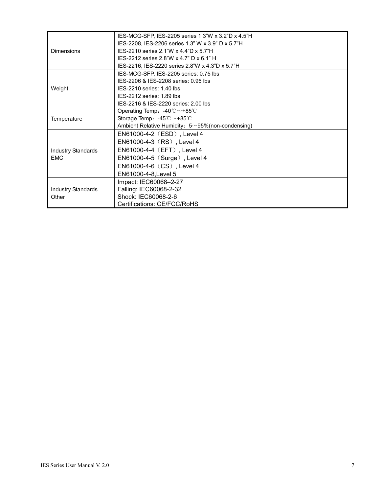|                           | IES-MCG-SFP, IES-2205 series 1.3"W x 3.2"D x 4.5"H        |  |  |
|---------------------------|-----------------------------------------------------------|--|--|
|                           | IES-2208, IES-2206 series 1.3" W x 3.9" D x 5.7"H         |  |  |
| <b>Dimensions</b>         | IES-2210 series 2.1"W x 4.4"D x 5.7"H                     |  |  |
|                           | IES-2212 series 2.8"W x 4.7" D x 6.1" H                   |  |  |
|                           | IES-2216, IES-2220 series 2.8"W x 4.3"D x 5.7"H           |  |  |
|                           | IES-MCG-SFP, IES-2205 series: 0.75 lbs                    |  |  |
|                           | IES-2206 & IES-2208 series: 0.95 lbs                      |  |  |
| Weight                    | IES-2210 series: 1.40 lbs                                 |  |  |
|                           | IES-2212 series: 1.89 lbs                                 |  |  |
|                           | IES-2216 & IES-2220 series: 2.00 lbs                      |  |  |
|                           | Operating Temp: $-40^{\circ}$ C ~ +85°C                   |  |  |
| Temperature               | Storage Temp: $-45^{\circ}$ C $\sim$ +85 $^{\circ}$ C     |  |  |
|                           | Ambient Relative Humidity: $5 \sim 95\%$ (non-condensing) |  |  |
|                           | EN61000-4-2 (ESD), Level 4                                |  |  |
|                           | EN61000-4-3 (RS), Level 4                                 |  |  |
| <b>Industry Standards</b> | EN61000-4-4 (EFT), Level 4                                |  |  |
| <b>EMC</b>                | EN61000-4-5 (Surge), Level 4                              |  |  |
|                           | EN61000-4-6 (CS), Level 4                                 |  |  |
|                           | EN61000-4-8, Level 5                                      |  |  |
|                           | Impact: IEC60068-2-27                                     |  |  |
| <b>Industry Standards</b> | Falling: IEC60068-2-32                                    |  |  |
| Other                     | Shock: IEC60068-2-6                                       |  |  |
|                           | Certifications: CE/FCC/RoHS                               |  |  |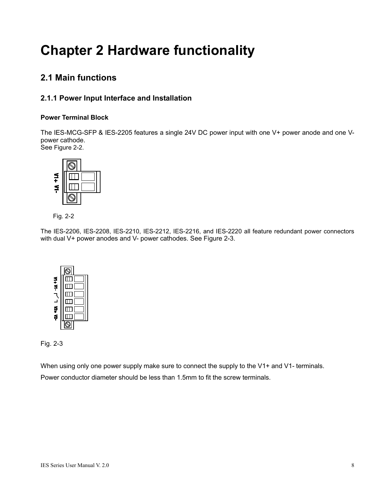# **Chapter 2 Hardware functionality**

## **2.1 Main functions**

### **2.1.1 Power Input Interface and Installation**

#### **Power Terminal Block**

The IES-MCG-SFP & IES-2205 features a single 24V DC power input with one V+ power anode and one Vpower cathode.

See Figure 2-2.





The IES-2206, IES-2208, IES-2210, IES-2212, IES-2216, and IES-2220 all feature redundant power connectors with dual V+ power anodes and V- power cathodes. See Figure 2-3.





When using only one power supply make sure to connect the supply to the V1+ and V1- terminals. Power conductor diameter should be less than 1.5mm to fit the screw terminals.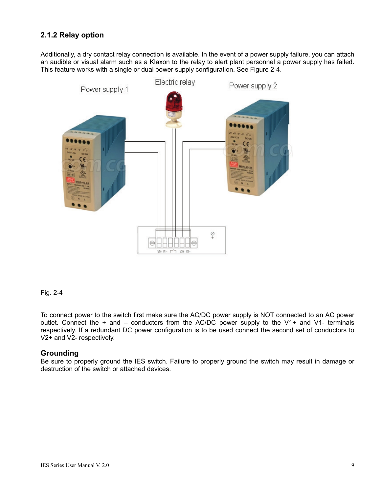#### **2.1.2 Relay option**

Additionally, a dry contact relay connection is available. In the event of a power supply failure, you can attach an audible or visual alarm such as a Klaxon to the relay to alert plant personnel a power supply has failed. This feature works with a single or dual power supply configuration. See Figure 2-4.



#### Fig. 2-4

To connect power to the switch first make sure the AC/DC power supply is NOT connected to an AC power outlet. Connect the + and – conductors from the AC/DC power supply to the V1+ and V1- terminals respectively. If a redundant DC power configuration is to be used connect the second set of conductors to V2+ and V2- respectively.

#### **Grounding**

Be sure to properly ground the IES switch. Failure to properly ground the switch may result in damage or destruction of the switch or attached devices.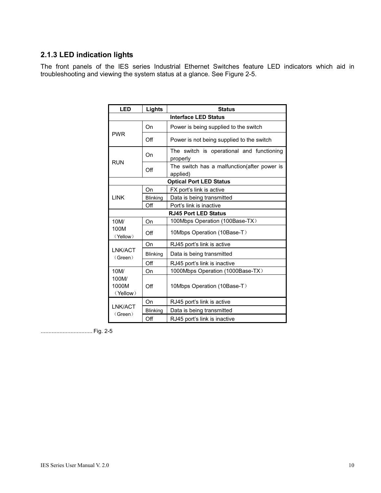### **2.1.3 LED indication lights**

The front panels of the IES series Industrial Ethernet Switches feature LED indicators which aid in troubleshooting and viewing the system status at a glance. See Figure 2-5.

| <b>LED</b>                         | Lights          | <b>Status</b>                                            |  |  |  |  |
|------------------------------------|-----------------|----------------------------------------------------------|--|--|--|--|
| <b>Interface LED Status</b>        |                 |                                                          |  |  |  |  |
| <b>PWR</b>                         | On              | Power is being supplied to the switch                    |  |  |  |  |
|                                    | Off             | Power is not being supplied to the switch                |  |  |  |  |
| <b>RUN</b>                         | On              | The switch is operational and functioning<br>properly    |  |  |  |  |
|                                    | Off             | The switch has a malfunction (after power is<br>applied) |  |  |  |  |
| <b>Optical Port LED Status</b>     |                 |                                                          |  |  |  |  |
|                                    | On              | FX port's link is active                                 |  |  |  |  |
| <b>LINK</b>                        | <b>Blinking</b> | Data is being transmitted                                |  |  |  |  |
|                                    | Off             | Port's link is inactive                                  |  |  |  |  |
|                                    |                 | <b>RJ45 Port LED Status</b>                              |  |  |  |  |
| 10M/                               | On              | 100Mbps Operation (100Base-TX)                           |  |  |  |  |
| 100M<br>(Yellow)                   | Off             | 10Mbps Operation (10Base-T)                              |  |  |  |  |
|                                    | On              | RJ45 port's link is active                               |  |  |  |  |
| LNK/ACT<br>(Green)                 | <b>Blinking</b> | Data is being transmitted                                |  |  |  |  |
|                                    | Off             | RJ45 port's link is inactive                             |  |  |  |  |
| 10M/<br>100M/<br>1000M<br>(Yellow) | On              | 1000Mbps Operation (1000Base-TX)                         |  |  |  |  |
|                                    | $\bigcirc$ ff   | 10Mbps Operation (10Base-T)                              |  |  |  |  |
|                                    | On              | RJ45 port's link is active                               |  |  |  |  |
| LNK/ACT<br>(Green)                 | Blinking        | Data is being transmitted                                |  |  |  |  |
|                                    | Off             | RJ45 port's link is inactive                             |  |  |  |  |

................................. Fig. 2-5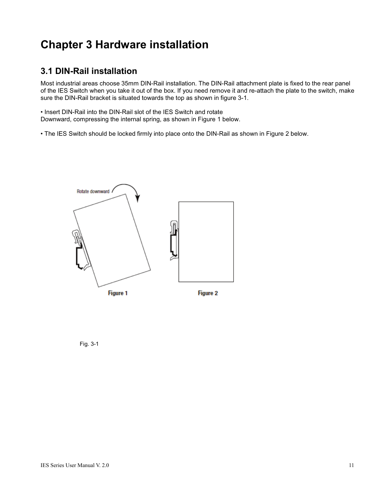## **Chapter 3 Hardware installation**

### **3.1 DIN-Rail installation**

Most industrial areas choose 35mm DIN-Rail installation. The DIN-Rail attachment plate is fixed to the rear panel of the IES Switch when you take it out of the box. If you need remove it and re-attach the plate to the switch, make sure the DIN-Rail bracket is situated towards the top as shown in figure 3-1.

• Insert DIN-Rail into the DIN-Rail slot of the IES Switch and rotate Downward, compressing the internal spring, as shown in Figure 1 below.

• The IES Switch should be locked firmly into place onto the DIN-Rail as shown in Figure 2 below.